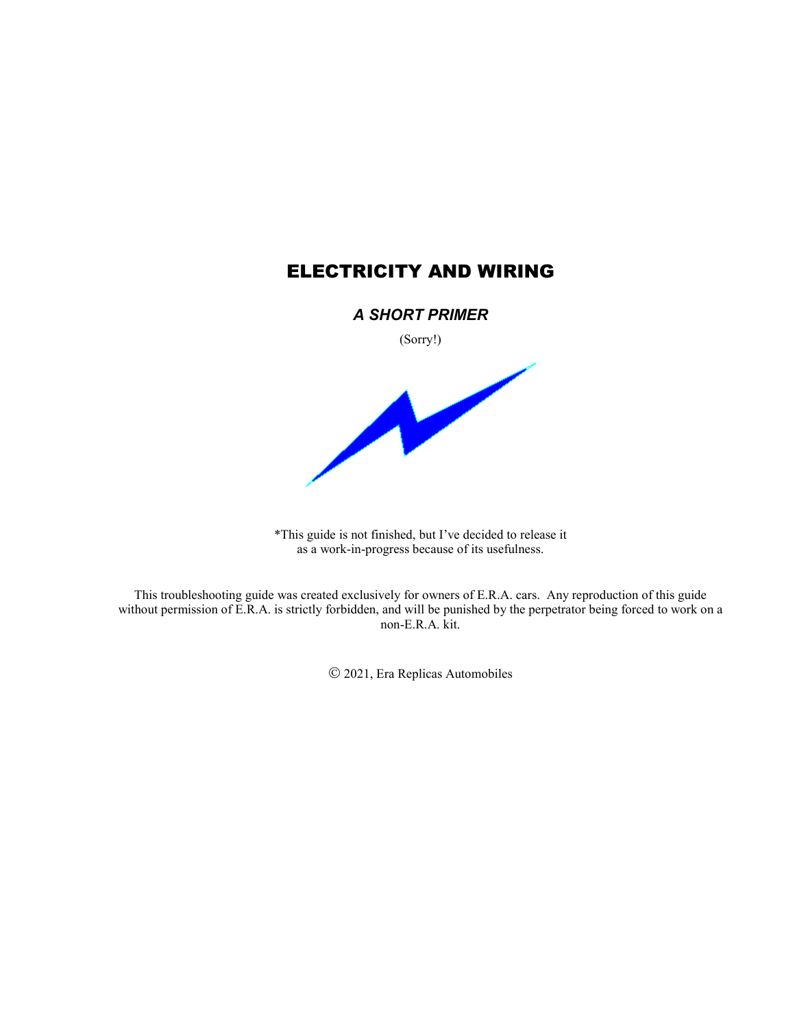# ELECTRICITY AND WIRING

## *A SHORT PRIMER*

(Sorry!)



\*This guide is not finished, but I've decided to release it as a work-in-progress because of its usefulness.

This troubleshooting guide was created exclusively for owners of E.R.A. cars. Any reproduction of this guide without permission of E.R.A. is strictly forbidden, and will be punished by the perpetrator being forced to work on a non-E.R.A. kit.

2021, Era Replicas Automobiles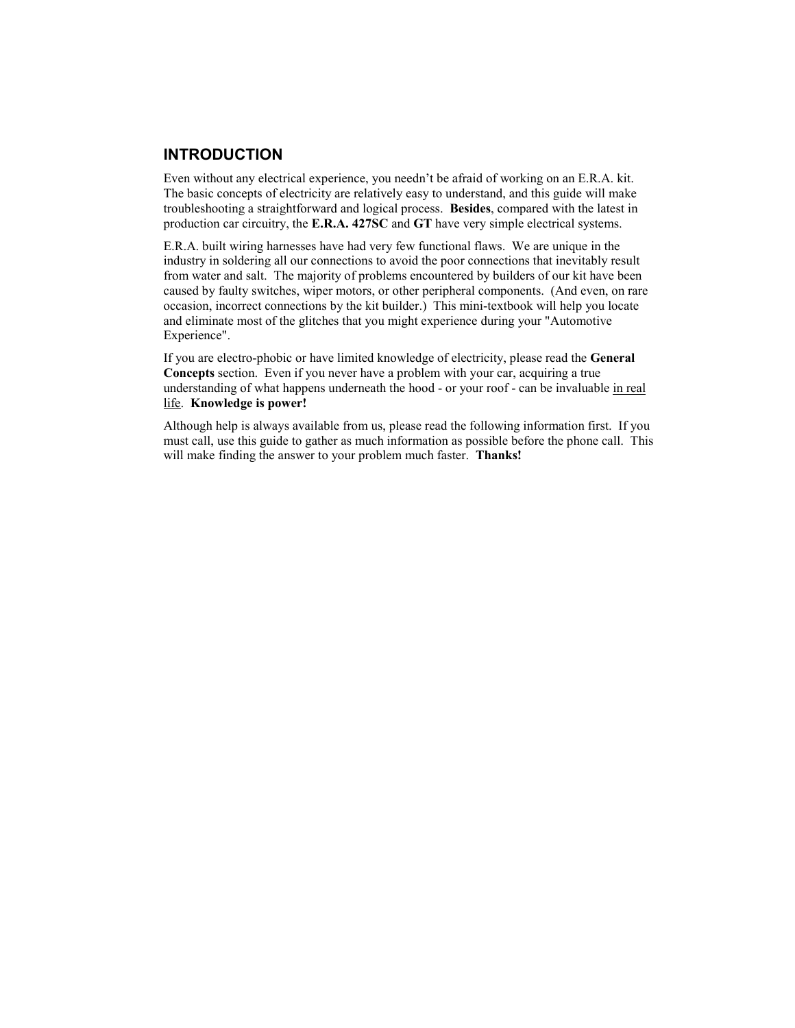## **INTRODUCTION**

Even without any electrical experience, you needn't be afraid of working on an E.R.A. kit. The basic concepts of electricity are relatively easy to understand, and this guide will make troubleshooting a straightforward and logical process. **Besides**, compared with the latest in production car circuitry, the **E.R.A. 427SC** and **GT** have very simple electrical systems.

E.R.A. built wiring harnesses have had very few functional flaws. We are unique in the industry in soldering all our connections to avoid the poor connections that inevitably result from water and salt. The majority of problems encountered by builders of our kit have been caused by faulty switches, wiper motors, or other peripheral components. (And even, on rare occasion, incorrect connections by the kit builder.) This mini-textbook will help you locate and eliminate most of the glitches that you might experience during your "Automotive Experience".

If you are electro-phobic or have limited knowledge of electricity, please read the **General Concepts** section. Even if you never have a problem with your car, acquiring a true understanding of what happens underneath the hood - or your roof - can be invaluable in real life. **Knowledge is power!**

Although help is always available from us, please read the following information first. If you must call, use this guide to gather as much information as possible before the phone call. This will make finding the answer to your problem much faster. **Thanks!**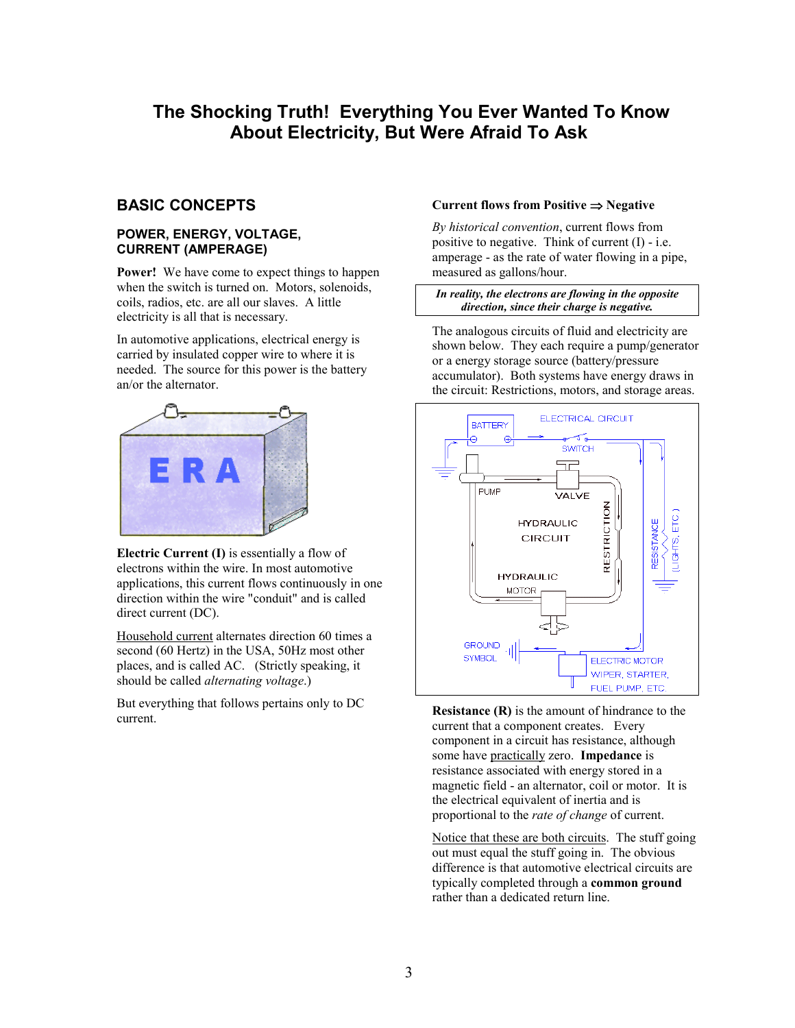# **The Shocking Truth! Everything You Ever Wanted To Know About Electricity, But Were Afraid To Ask**

## **BASIC CONCEPTS**

### **POWER, ENERGY, VOLTAGE, CURRENT (AMPERAGE)**

**Power!** We have come to expect things to happen when the switch is turned on. Motors, solenoids, coils, radios, etc. are all our slaves. A little electricity is all that is necessary.

In automotive applications, electrical energy is carried by insulated copper wire to where it is needed. The source for this power is the battery an/or the alternator.



**Electric Current (I)** is essentially a flow of electrons within the wire. In most automotive applications, this current flows continuously in one direction within the wire "conduit" and is called direct current (DC).

Household current alternates direction 60 times a second (60 Hertz) in the USA, 50Hz most other places, and is called AC. (Strictly speaking, it should be called *alternating voltage*.)

But everything that follows pertains only to DC current.

### **Current flows from Positive**  $\Rightarrow$  **Negative**

*By historical convention*, current flows from positive to negative. Think of current  $(I)$  - i.e. amperage - as the rate of water flowing in a pipe, measured as gallons/hour.

#### *In reality, the electrons are flowing in the opposite direction, since their charge is negative.*

The analogous circuits of fluid and electricity are shown below. They each require a pump/generator or a energy storage source (battery/pressure accumulator). Both systems have energy draws in the circuit: Restrictions, motors, and storage areas.



**Resistance (R)** is the amount of hindrance to the current that a component creates. Every component in a circuit has resistance, although some have practically zero. **Impedance** is resistance associated with energy stored in a magnetic field - an alternator, coil or motor. It is the electrical equivalent of inertia and is proportional to the *rate of change* of current.

Notice that these are both circuits. The stuff going out must equal the stuff going in. The obvious difference is that automotive electrical circuits are typically completed through a **common ground** rather than a dedicated return line.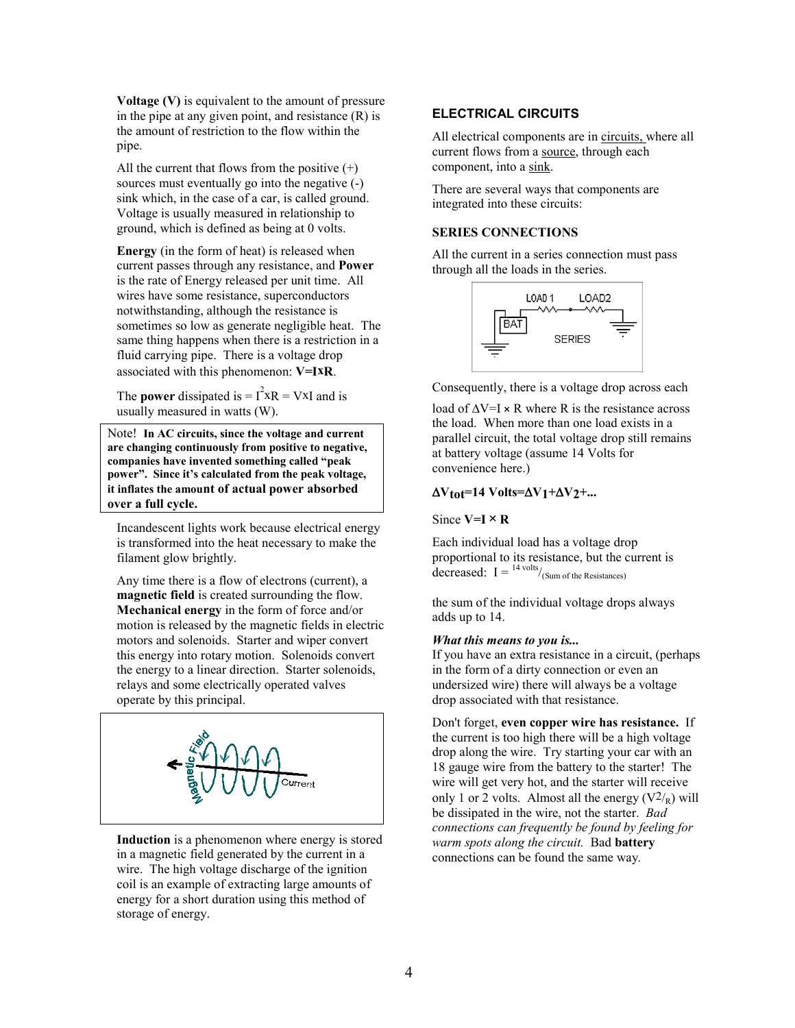**Voltage (V)** is equivalent to the amount of pressure in the pipe at any given point, and resistance  $(R)$  is the amount of restriction to the flow within the pipe.

All the current that flows from the positive  $(+)$ sources must eventually go into the negative (-) sink which, in the case of a car, is called ground. Voltage is usually measured in relationship to ground, which is defined as being at 0 volts.

**Energy** (in the form of heat) is released when current passes through any resistance, and **Power** is the rate of Energy released per unit time. All wires have some resistance, superconductors notwithstanding, although the resistance is sometimes so low as generate negligible heat. The same thing happens when there is a restriction in a fluid carrying pipe. There is a voltage drop associated with this phenomenon: **V=IxR**.

The **power** dissipated is  $= I^2 xR = VxI$  and is usually measured in watts (W).

Note! **In AC circuits, since the voltage and current are changing continuously from positive to negative, companies have invented something called "peak power". Since it's calculated from the peak voltage, it inflates the amount of actual power absorbed over a full cycle.** 

Incandescent lights work because electrical energy is transformed into the heat necessary to make the filament glow brightly.

Any time there is a flow of electrons (current), a **magnetic field** is created surrounding the flow. **Mechanical energy** in the form of force and/or motion is released by the magnetic fields in electric motors and solenoids. Starter and wiper convert this energy into rotary motion. Solenoids convert the energy to a linear direction. Starter solenoids, relays and some electrically operated valves operate by this principal.



**Induction** is a phenomenon where energy is stored in a magnetic field generated by the current in a wire. The high voltage discharge of the ignition coil is an example of extracting large amounts of energy for a short duration using this method of storage of energy.

## **ELECTRICAL CIRCUITS**

All electrical components are in circuits, where all current flows from a source, through each component, into a sink.

There are several ways that components are integrated into these circuits:

#### **SERIES CONNECTIONS**

All the current in a series connection must pass through all the loads in the series.



Consequently, there is a voltage drop across each

load of  $\Delta V=I \times R$  where R is the resistance across the load. When more than one load exists in a parallel circuit, the total voltage drop still remains at battery voltage (assume 14 Volts for convenience here.)

#### $\Delta V_{tot}$ =14 Volts= $\Delta V_1$ + $\Delta V_2$ +...

Since  $V=I \times R$ 

Each individual load has a voltage drop proportional to its resistance, but the current is decreased:  $I = \frac{14 \text{ volts}}{Sum \text{ of the Resistances}}$ 

the sum of the individual voltage drops always adds up to 14.

#### *What this means to you is...*

If you have an extra resistance in a circuit, (perhaps in the form of a dirty connection or even an undersized wire) there will always be a voltage drop associated with that resistance.

Don't forget, **even copper wire has resistance.** If the current is too high there will be a high voltage drop along the wire. Try starting your car with an 18 gauge wire from the battery to the starter! The wire will get very hot, and the starter will receive only 1 or 2 volts. Almost all the energy  $(V^2)_R$ ) will be dissipated in the wire, not the starter. *Bad connections can frequently be found by feeling for warm spots along the circuit.* Bad **battery** connections can be found the same way*.*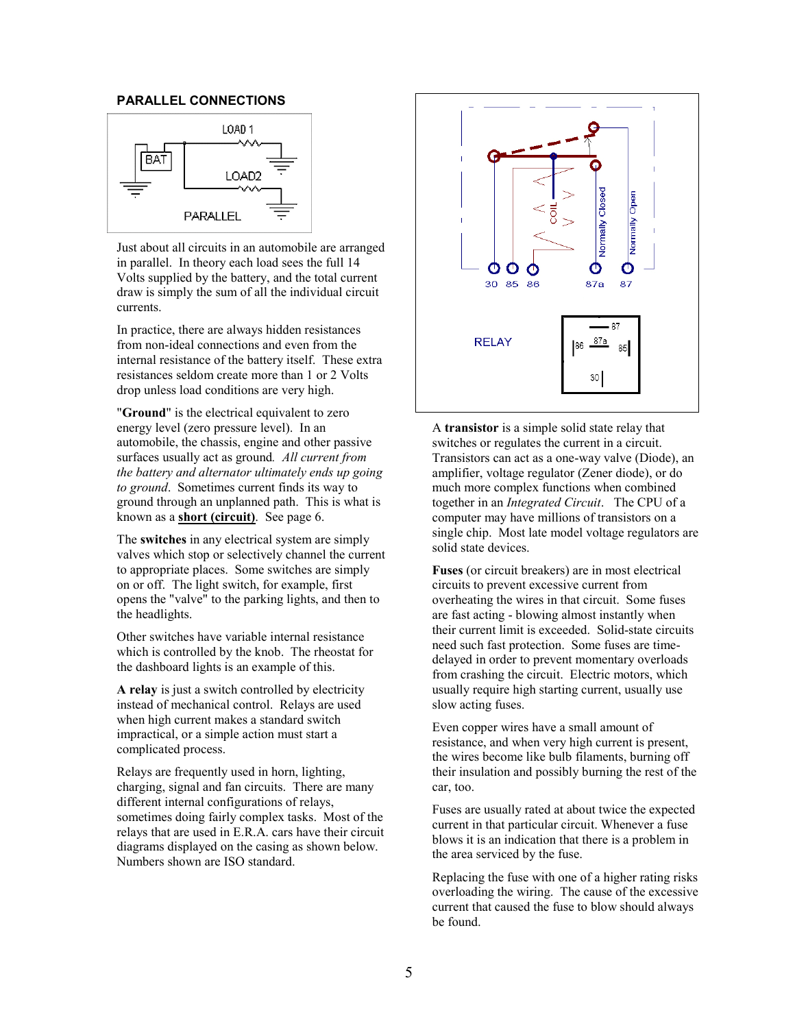### **PARALLEL CONNECTIONS**



Just about all circuits in an automobile are arranged in parallel. In theory each load sees the full 14 Volts supplied by the battery, and the total current draw is simply the sum of all the individual circuit currents.

In practice, there are always hidden resistances from non-ideal connections and even from the internal resistance of the battery itself. These extra resistances seldom create more than 1 or 2 Volts drop unless load conditions are very high.

"**Ground**" is the electrical equivalent to zero energy level (zero pressure level). In an automobile, the chassis, engine and other passive surfaces usually act as ground*. All current from the battery and alternator ultimately ends up going to ground*. Sometimes current finds its way to ground through an unplanned path. This is what is known as a **short (circuit)**. See page 6.

The **switches** in any electrical system are simply valves which stop or selectively channel the current to appropriate places. Some switches are simply on or off. The light switch, for example, first opens the "valve" to the parking lights, and then to the headlights.

Other switches have variable internal resistance which is controlled by the knob. The rheostat for the dashboard lights is an example of this.

**A relay** is just a switch controlled by electricity instead of mechanical control. Relays are used when high current makes a standard switch impractical, or a simple action must start a complicated process.

Relays are frequently used in horn, lighting, charging, signal and fan circuits. There are many different internal configurations of relays, sometimes doing fairly complex tasks. Most of the relays that are used in E.R.A. cars have their circuit diagrams displayed on the casing as shown below. Numbers shown are ISO standard.



A **transistor** is a simple solid state relay that switches or regulates the current in a circuit. Transistors can act as a one-way valve (Diode), an amplifier, voltage regulator (Zener diode), or do much more complex functions when combined together in an *Integrated Circuit*. The CPU of a computer may have millions of transistors on a single chip. Most late model voltage regulators are solid state devices.

**Fuses** (or circuit breakers) are in most electrical circuits to prevent excessive current from overheating the wires in that circuit. Some fuses are fast acting - blowing almost instantly when their current limit is exceeded. Solid-state circuits need such fast protection. Some fuses are timedelayed in order to prevent momentary overloads from crashing the circuit. Electric motors, which usually require high starting current, usually use slow acting fuses.

Even copper wires have a small amount of resistance, and when very high current is present, the wires become like bulb filaments, burning off their insulation and possibly burning the rest of the car, too.

Fuses are usually rated at about twice the expected current in that particular circuit. Whenever a fuse blows it is an indication that there is a problem in the area serviced by the fuse.

Replacing the fuse with one of a higher rating risks overloading the wiring. The cause of the excessive current that caused the fuse to blow should always be found.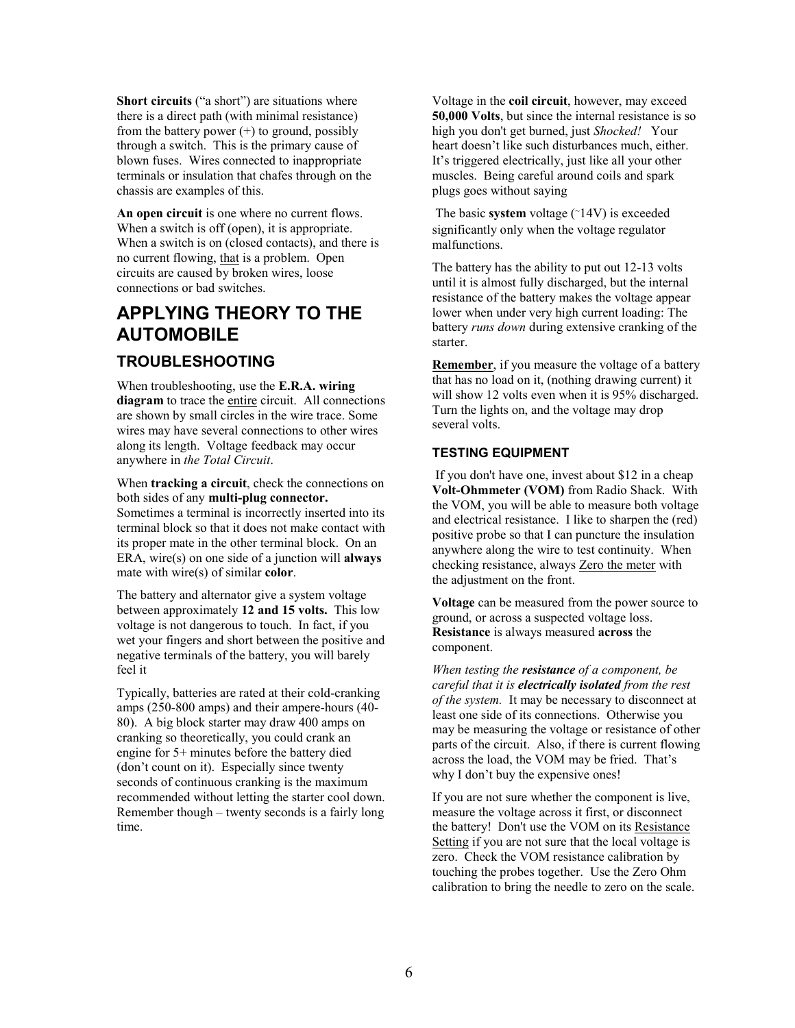**Short circuits** ("a short") are situations where there is a direct path (with minimal resistance) from the battery power  $(+)$  to ground, possibly through a switch. This is the primary cause of blown fuses. Wires connected to inappropriate terminals or insulation that chafes through on the chassis are examples of this.

**An open circuit** is one where no current flows. When a switch is off (open), it is appropriate. When a switch is on (closed contacts), and there is no current flowing, that is a problem. Open circuits are caused by broken wires, loose connections or bad switches.

# **APPLYING THEORY TO THE AUTOMOBILE TROUBLESHOOTING**

When troubleshooting, use the **E.R.A. wiring diagram** to trace the entire circuit. All connections are shown by small circles in the wire trace. Some wires may have several connections to other wires along its length. Voltage feedback may occur anywhere in *the Total Circuit*.

When **tracking a circuit**, check the connections on both sides of any **multi-plug connector.**

Sometimes a terminal is incorrectly inserted into its terminal block so that it does not make contact with its proper mate in the other terminal block. On an ERA, wire(s) on one side of a junction will **always** mate with wire(s) of similar **color**.

The battery and alternator give a system voltage between approximately **12 and 15 volts.** This low voltage is not dangerous to touch. In fact, if you wet your fingers and short between the positive and negative terminals of the battery, you will barely feel it

Typically, batteries are rated at their cold-cranking amps (250-800 amps) and their ampere-hours (40- 80). A big block starter may draw 400 amps on cranking so theoretically, you could crank an engine for 5+ minutes before the battery died (don't count on it). Especially since twenty seconds of continuous cranking is the maximum recommended without letting the starter cool down. Remember though – twenty seconds is a fairly long time.

Voltage in the **coil circuit**, however, may exceed **50,000 Volts**, but since the internal resistance is so high you don't get burned, just *Shocked!* Your heart doesn't like such disturbances much, either. It's triggered electrically, just like all your other muscles. Being careful around coils and spark plugs goes without saying

 The basic **system** voltage (~14V) is exceeded significantly only when the voltage regulator malfunctions.

The battery has the ability to put out 12-13 volts until it is almost fully discharged, but the internal resistance of the battery makes the voltage appear lower when under very high current loading: The battery *runs down* during extensive cranking of the starter.

**Remember**, if you measure the voltage of a battery that has no load on it, (nothing drawing current) it will show 12 volts even when it is 95% discharged. Turn the lights on, and the voltage may drop several volts.

## **TESTING EQUIPMENT**

 If you don't have one, invest about \$12 in a cheap **Volt-Ohmmeter (VOM)** from Radio Shack. With the VOM, you will be able to measure both voltage and electrical resistance. I like to sharpen the (red) positive probe so that I can puncture the insulation anywhere along the wire to test continuity. When checking resistance, always Zero the meter with the adjustment on the front.

**Voltage** can be measured from the power source to ground, or across a suspected voltage loss. **Resistance** is always measured **across** the component.

*When testing the resistance of a component, be careful that it is electrically isolated from the rest of the system.* It may be necessary to disconnect at least one side of its connections. Otherwise you may be measuring the voltage or resistance of other parts of the circuit. Also, if there is current flowing across the load, the VOM may be fried. That's why I don't buy the expensive ones!

If you are not sure whether the component is live, measure the voltage across it first, or disconnect the battery! Don't use the VOM on its Resistance Setting if you are not sure that the local voltage is zero. Check the VOM resistance calibration by touching the probes together. Use the Zero Ohm calibration to bring the needle to zero on the scale.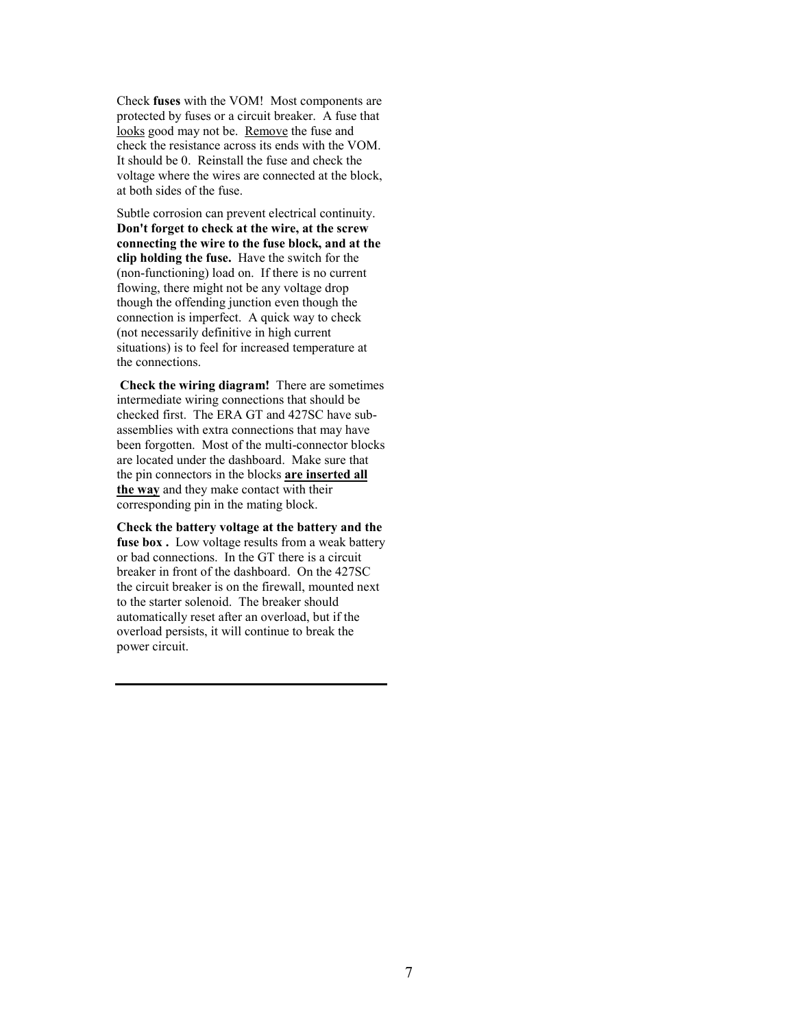Check **fuses** with the VOM! Most components are protected by fuses or a circuit breaker. A fuse that looks good may not be. Remove the fuse and check the resistance across its ends with the VOM. It should be 0. Reinstall the fuse and check the voltage where the wires are connected at the block, at both sides of the fuse.

Subtle corrosion can prevent electrical continuity. **Don't forget to check at the wire, at the screw connecting the wire to the fuse block, and at the clip holding the fuse.** Have the switch for the (non-functioning) load on. If there is no current flowing, there might not be any voltage drop though the offending junction even though the connection is imperfect. A quick way to check (not necessarily definitive in high current situations) is to feel for increased temperature at the connections.

 **Check the wiring diagram!** There are sometimes intermediate wiring connections that should be checked first. The ERA GT and 427SC have subassemblies with extra connections that may have been forgotten. Most of the multi-connector blocks are located under the dashboard. Make sure that the pin connectors in the blocks **are inserted all the way** and they make contact with their corresponding pin in the mating block.

**Check the battery voltage at the battery and the fuse box .** Low voltage results from a weak battery or bad connections. In the GT there is a circuit breaker in front of the dashboard. On the 427SC the circuit breaker is on the firewall, mounted next to the starter solenoid. The breaker should automatically reset after an overload, but if the overload persists, it will continue to break the power circuit.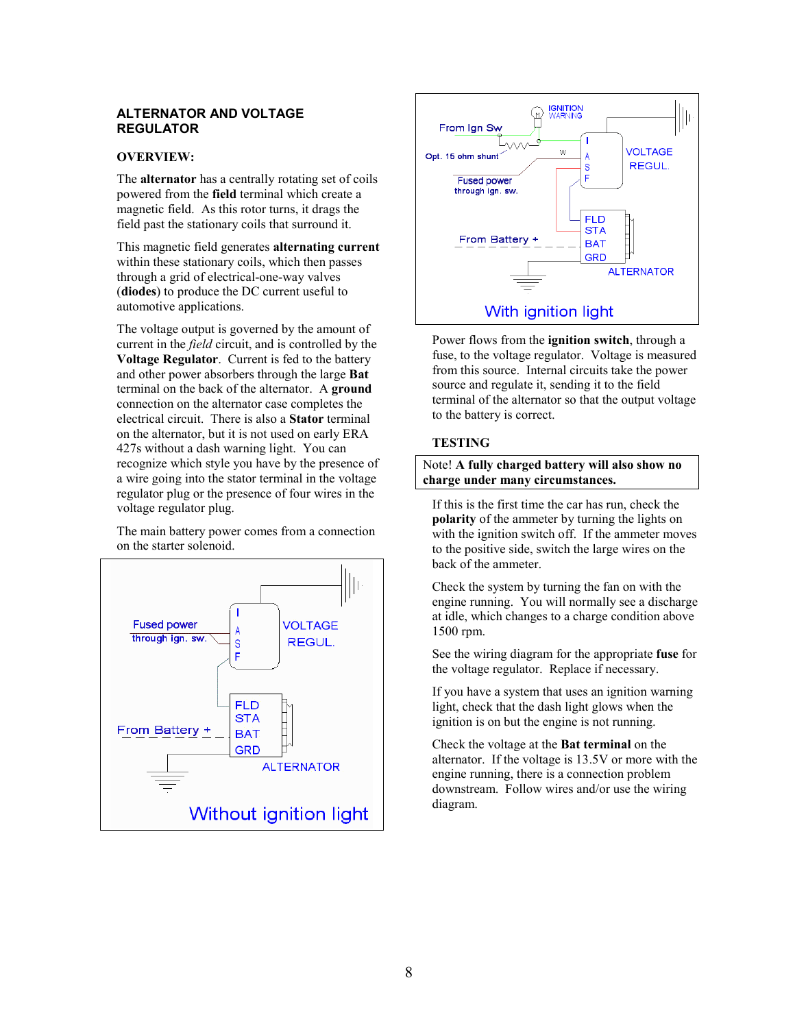#### **ALTERNATOR AND VOLTAGE REGULATOR**

### **OVERVIEW:**

The **alternator** has a centrally rotating set of coils powered from the **field** terminal which create a magnetic field. As this rotor turns, it drags the field past the stationary coils that surround it.

This magnetic field generates **alternating current** within these stationary coils, which then passes through a grid of electrical-one-way valves (**diodes**) to produce the DC current useful to automotive applications.

The voltage output is governed by the amount of current in the *field* circuit, and is controlled by the **Voltage Regulator**. Current is fed to the battery and other power absorbers through the large **Bat** terminal on the back of the alternator. A **ground** connection on the alternator case completes the electrical circuit. There is also a **Stator** terminal on the alternator, but it is not used on early ERA 427s without a dash warning light. You can recognize which style you have by the presence of a wire going into the stator terminal in the voltage regulator plug or the presence of four wires in the voltage regulator plug.

The main battery power comes from a connection on the starter solenoid.





Power flows from the **ignition switch**, through a fuse, to the voltage regulator. Voltage is measured from this source. Internal circuits take the power source and regulate it, sending it to the field terminal of the alternator so that the output voltage to the battery is correct.

### **TESTING**

Note! **A fully charged battery will also show no charge under many circumstances.**

If this is the first time the car has run, check the **polarity** of the ammeter by turning the lights on with the ignition switch off. If the ammeter moves to the positive side, switch the large wires on the back of the ammeter.

Check the system by turning the fan on with the engine running. You will normally see a discharge at idle, which changes to a charge condition above 1500 rpm.

See the wiring diagram for the appropriate **fuse** for the voltage regulator. Replace if necessary.

If you have a system that uses an ignition warning light, check that the dash light glows when the ignition is on but the engine is not running.

Check the voltage at the **Bat terminal** on the alternator. If the voltage is 13.5V or more with the engine running, there is a connection problem downstream. Follow wires and/or use the wiring diagram.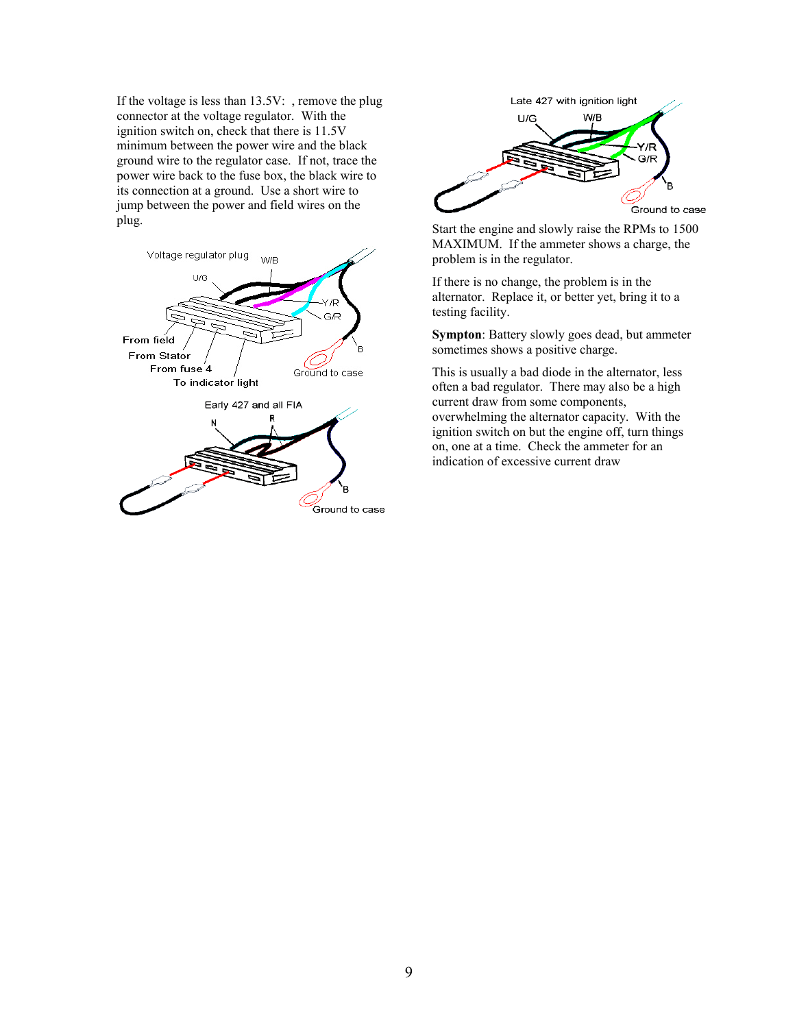If the voltage is less than 13.5V: , remove the plug connector at the voltage regulator. With the ignition switch on, check that there is 11.5V minimum between the power wire and the black ground wire to the regulator case. If not, trace the power wire back to the fuse box, the black wire to its connection at a ground. Use a short wire to jump between the power and field wires on the





plug. Start the engine and slowly raise the RPMs to 1500 MAXIMUM. If the ammeter shows a charge, the problem is in the regulator.

> If there is no change, the problem is in the alternator. Replace it, or better yet, bring it to a testing facility.

**Sympton**: Battery slowly goes dead, but ammeter sometimes shows a positive charge.

This is usually a bad diode in the alternator, less often a bad regulator. There may also be a high current draw from some components, overwhelming the alternator capacity. With the ignition switch on but the engine off, turn things on, one at a time. Check the ammeter for an indication of excessive current draw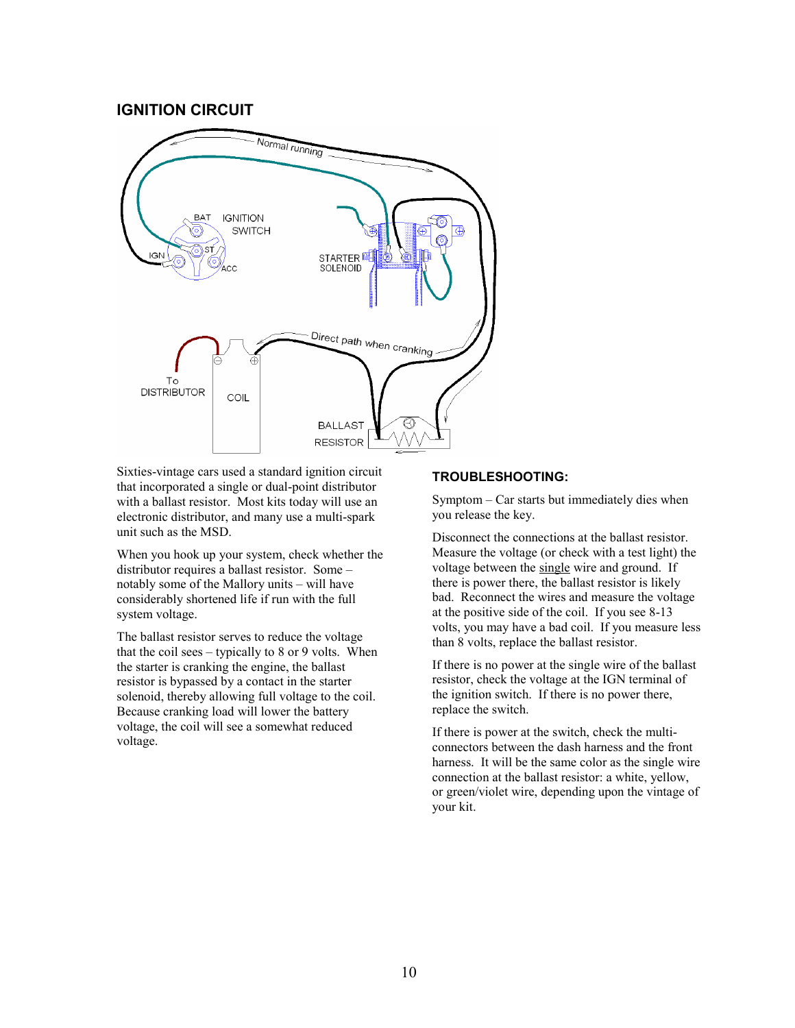## **IGNITION CIRCUIT**



Sixties-vintage cars used a standard ignition circuit that incorporated a single or dual-point distributor with a ballast resistor. Most kits today will use an electronic distributor, and many use a multi-spark unit such as the MSD.

When you hook up your system, check whether the distributor requires a ballast resistor. Some – notably some of the Mallory units – will have considerably shortened life if run with the full system voltage.

The ballast resistor serves to reduce the voltage that the coil sees – typically to  $8$  or  $9$  volts. When the starter is cranking the engine, the ballast resistor is bypassed by a contact in the starter solenoid, thereby allowing full voltage to the coil. Because cranking load will lower the battery voltage, the coil will see a somewhat reduced voltage.

### **TROUBLESHOOTING:**

Symptom – Car starts but immediately dies when you release the key.

Disconnect the connections at the ballast resistor. Measure the voltage (or check with a test light) the voltage between the single wire and ground. If there is power there, the ballast resistor is likely bad. Reconnect the wires and measure the voltage at the positive side of the coil. If you see 8-13 volts, you may have a bad coil. If you measure less than 8 volts, replace the ballast resistor.

If there is no power at the single wire of the ballast resistor, check the voltage at the IGN terminal of the ignition switch. If there is no power there, replace the switch.

If there is power at the switch, check the multiconnectors between the dash harness and the front harness. It will be the same color as the single wire connection at the ballast resistor: a white, yellow, or green/violet wire, depending upon the vintage of your kit.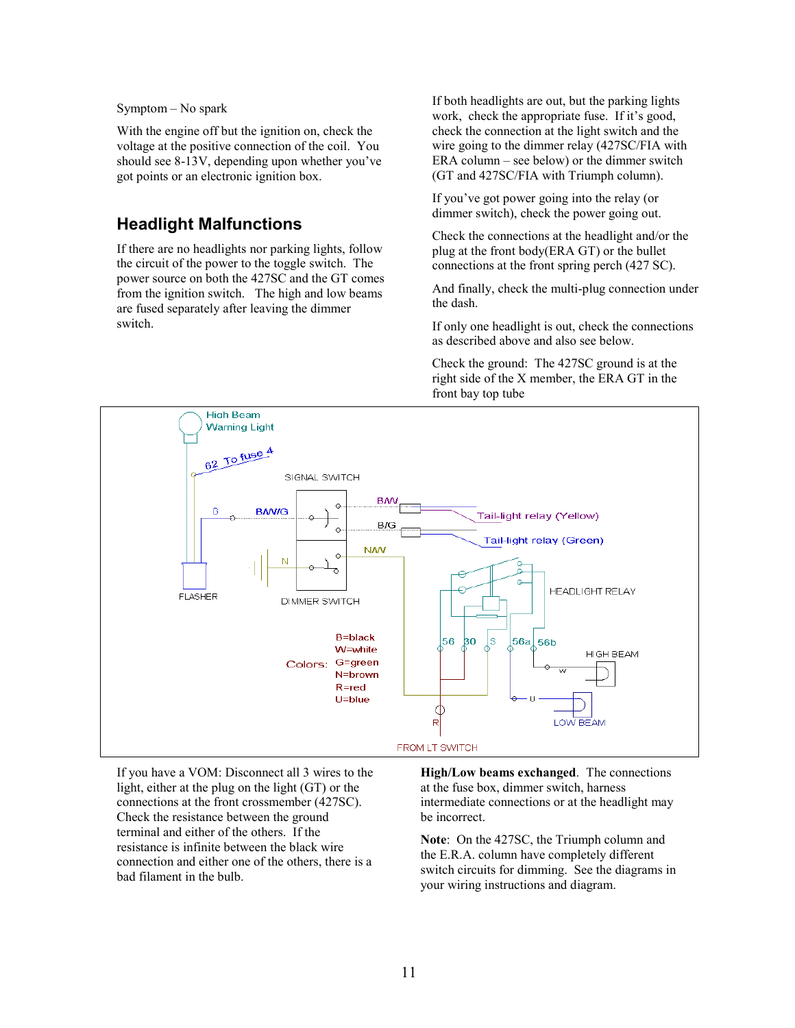#### Symptom – No spark

With the engine off but the ignition on, check the voltage at the positive connection of the coil. You should see 8-13V, depending upon whether you've got points or an electronic ignition box.

## **Headlight Malfunctions**

If there are no headlights nor parking lights, follow the circuit of the power to the toggle switch. The power source on both the 427SC and the GT comes from the ignition switch. The high and low beams are fused separately after leaving the dimmer switch.

If both headlights are out, but the parking lights work, check the appropriate fuse. If it's good, check the connection at the light switch and the wire going to the dimmer relay (427SC/FIA with ERA column – see below) or the dimmer switch (GT and 427SC/FIA with Triumph column).

If you've got power going into the relay (or dimmer switch), check the power going out.

Check the connections at the headlight and/or the plug at the front body(ERA GT) or the bullet connections at the front spring perch (427 SC).

And finally, check the multi-plug connection under the dash.

If only one headlight is out, check the connections as described above and also see below.

Check the ground: The 427SC ground is at the right side of the X member, the ERA GT in the front bay top tube



If you have a VOM: Disconnect all 3 wires to the light, either at the plug on the light (GT) or the connections at the front crossmember (427SC). Check the resistance between the ground terminal and either of the others. If the resistance is infinite between the black wire connection and either one of the others, there is a bad filament in the bulb.

**High/Low beams exchanged**. The connections at the fuse box, dimmer switch, harness intermediate connections or at the headlight may be incorrect.

**Note**: On the 427SC, the Triumph column and the E.R.A. column have completely different switch circuits for dimming. See the diagrams in your wiring instructions and diagram.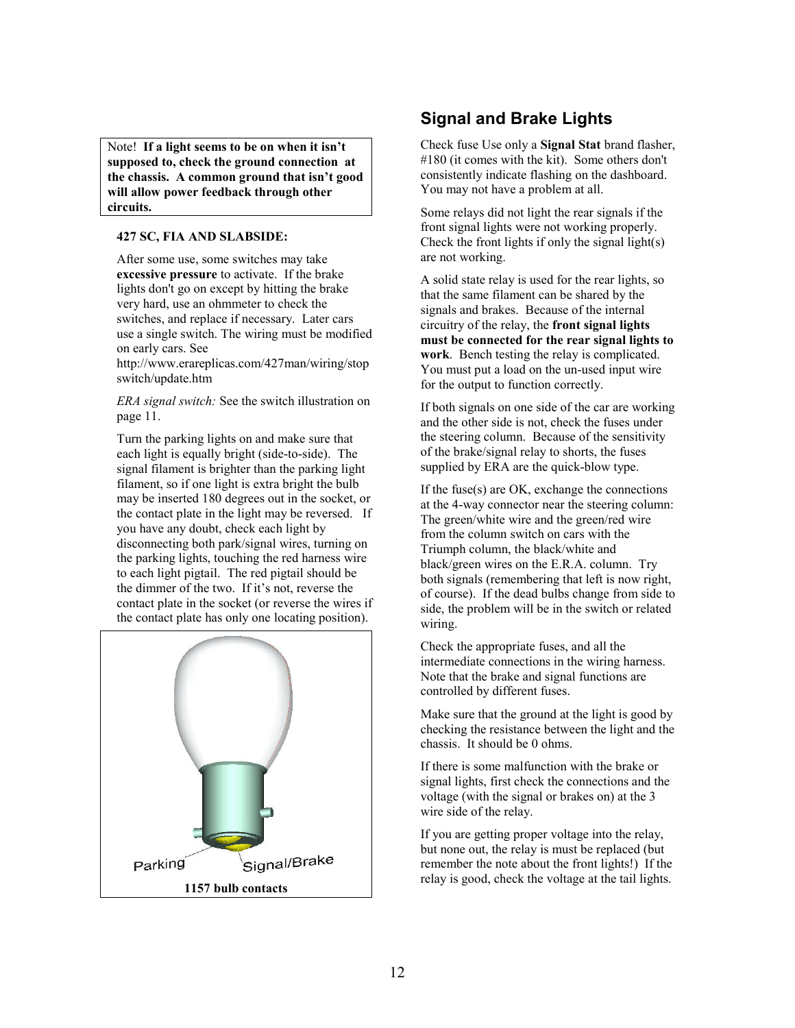Note! **If a light seems to be on when it isn't supposed to, check the ground connection at the chassis. A common ground that isn't good will allow power feedback through other circuits.**

#### **427 SC, FIA AND SLABSIDE:**

After some use, some switches may take **excessive pressure** to activate. If the brake lights don't go on except by hitting the brake very hard, use an ohmmeter to check the switches, and replace if necessary. Later cars use a single switch. The wiring must be modified on early cars. See

http://www.erareplicas.com/427man/wiring/stop switch/update.htm

*ERA signal switch:* See the switch illustration on page 11.

Turn the parking lights on and make sure that each light is equally bright (side-to-side). The signal filament is brighter than the parking light filament, so if one light is extra bright the bulb may be inserted 180 degrees out in the socket, or the contact plate in the light may be reversed. If you have any doubt, check each light by disconnecting both park/signal wires, turning on the parking lights, touching the red harness wire to each light pigtail. The red pigtail should be the dimmer of the two. If it's not, reverse the contact plate in the socket (or reverse the wires if the contact plate has only one locating position).



## **Signal and Brake Lights**

Check fuse Use only a **Signal Stat** brand flasher, #180 (it comes with the kit). Some others don't consistently indicate flashing on the dashboard. You may not have a problem at all.

Some relays did not light the rear signals if the front signal lights were not working properly. Check the front lights if only the signal light(s) are not working.

A solid state relay is used for the rear lights, so that the same filament can be shared by the signals and brakes. Because of the internal circuitry of the relay, the **front signal lights must be connected for the rear signal lights to work**. Bench testing the relay is complicated. You must put a load on the un-used input wire for the output to function correctly.

If both signals on one side of the car are working and the other side is not, check the fuses under the steering column. Because of the sensitivity of the brake/signal relay to shorts, the fuses supplied by ERA are the quick-blow type.

If the fuse(s) are OK, exchange the connections at the 4-way connector near the steering column: The green/white wire and the green/red wire from the column switch on cars with the Triumph column, the black/white and black/green wires on the E.R.A. column. Try both signals (remembering that left is now right, of course). If the dead bulbs change from side to side, the problem will be in the switch or related wiring.

Check the appropriate fuses, and all the intermediate connections in the wiring harness. Note that the brake and signal functions are controlled by different fuses.

Make sure that the ground at the light is good by checking the resistance between the light and the chassis. It should be 0 ohms.

If there is some malfunction with the brake or signal lights, first check the connections and the voltage (with the signal or brakes on) at the 3 wire side of the relay.

If you are getting proper voltage into the relay, but none out, the relay is must be replaced (but remember the note about the front lights!) If the relay is good, check the voltage at the tail lights.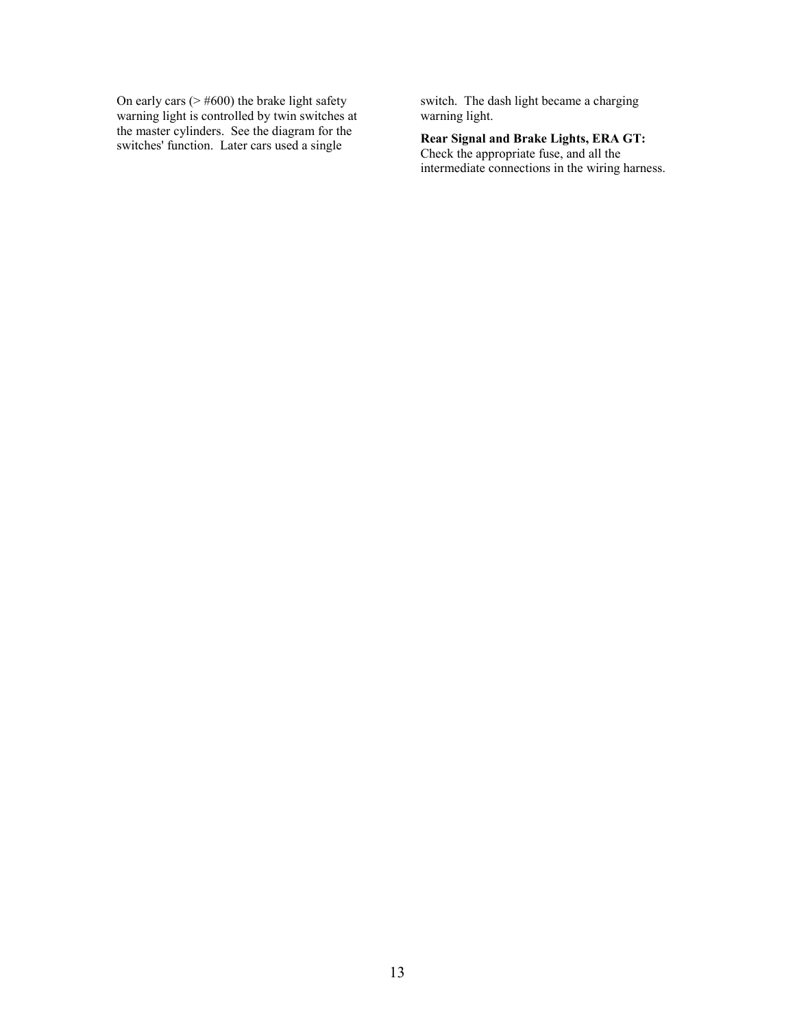On early cars  $($   $\geq$  #600) the brake light safety warning light is controlled by twin switches at the master cylinders. See the diagram for the switches' function. Later cars used a single

switch. The dash light became a charging warning light.

**Rear Signal and Brake Lights, ERA GT:** Check the appropriate fuse, and all the intermediate connections in the wiring harness.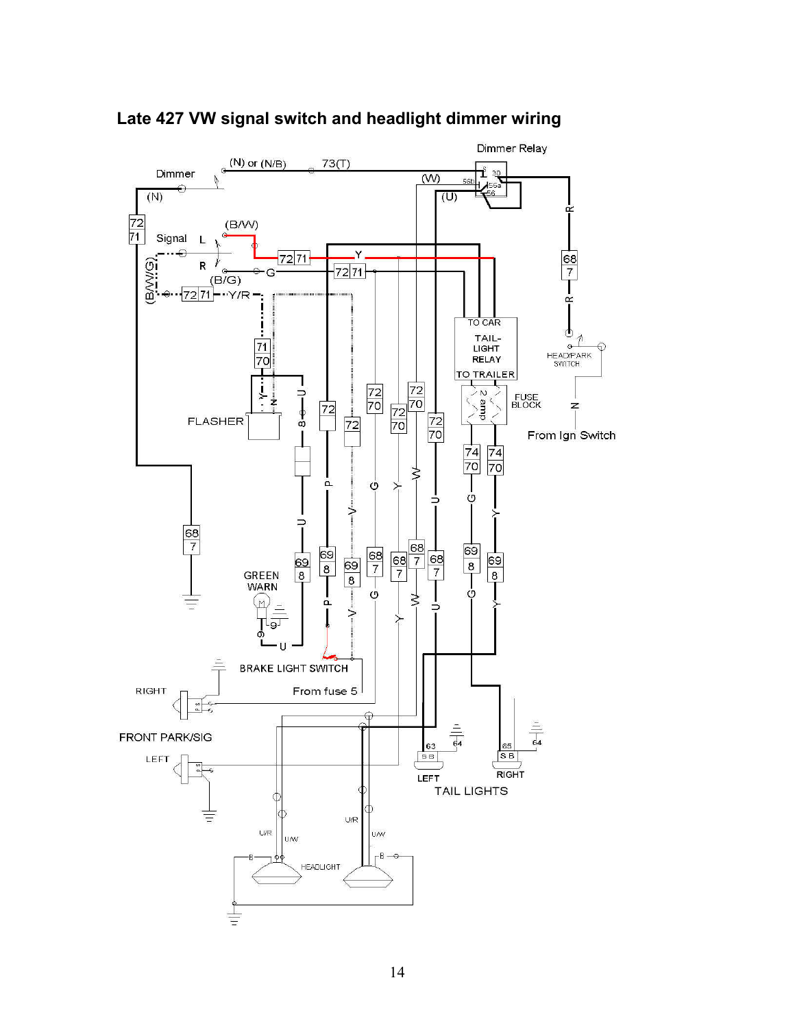

**Late 427 VW signal switch and headlight dimmer wiring**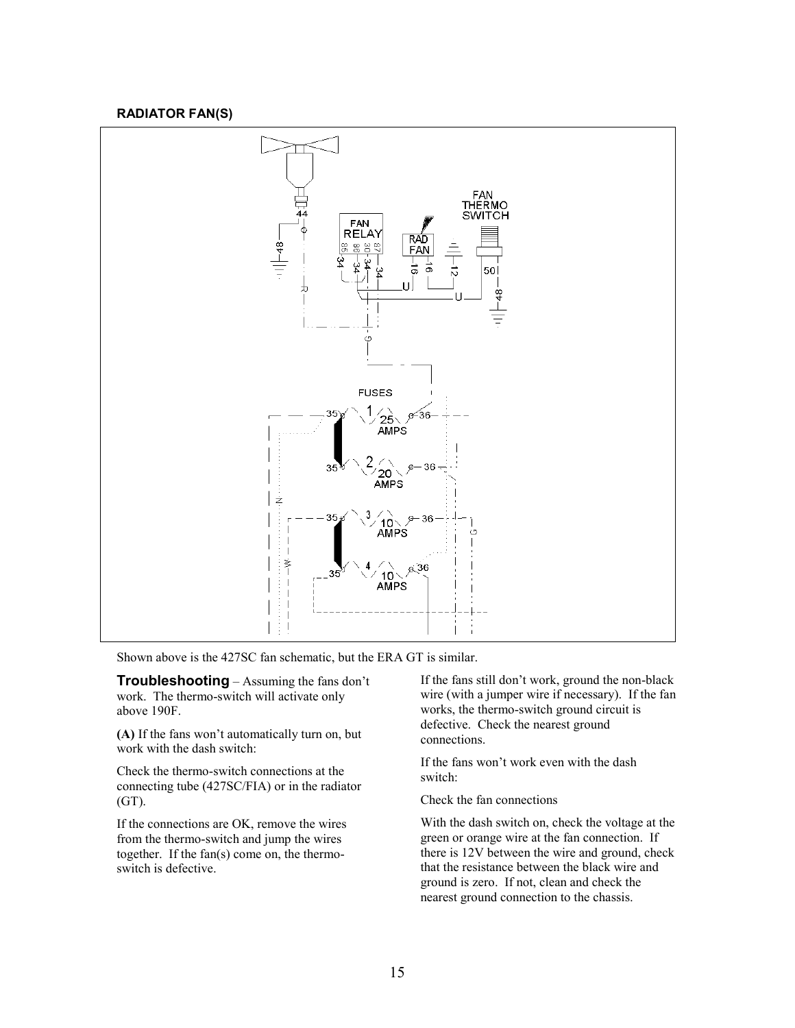### **RADIATOR FAN(S)**



Shown above is the 427SC fan schematic, but the ERA GT is similar.

**Troubleshooting** – Assuming the fans don't work. The thermo-switch will activate only above 190F.

**(A)** If the fans won't automatically turn on, but work with the dash switch:

Check the thermo-switch connections at the connecting tube (427SC/FIA) or in the radiator (GT).

If the connections are OK, remove the wires from the thermo-switch and jump the wires together. If the fan(s) come on, the thermoswitch is defective.

If the fans still don't work, ground the non-black wire (with a jumper wire if necessary). If the fan works, the thermo-switch ground circuit is defective. Check the nearest ground connections.

If the fans won't work even with the dash switch:

Check the fan connections

With the dash switch on, check the voltage at the green or orange wire at the fan connection. If there is 12V between the wire and ground, check that the resistance between the black wire and ground is zero. If not, clean and check the nearest ground connection to the chassis.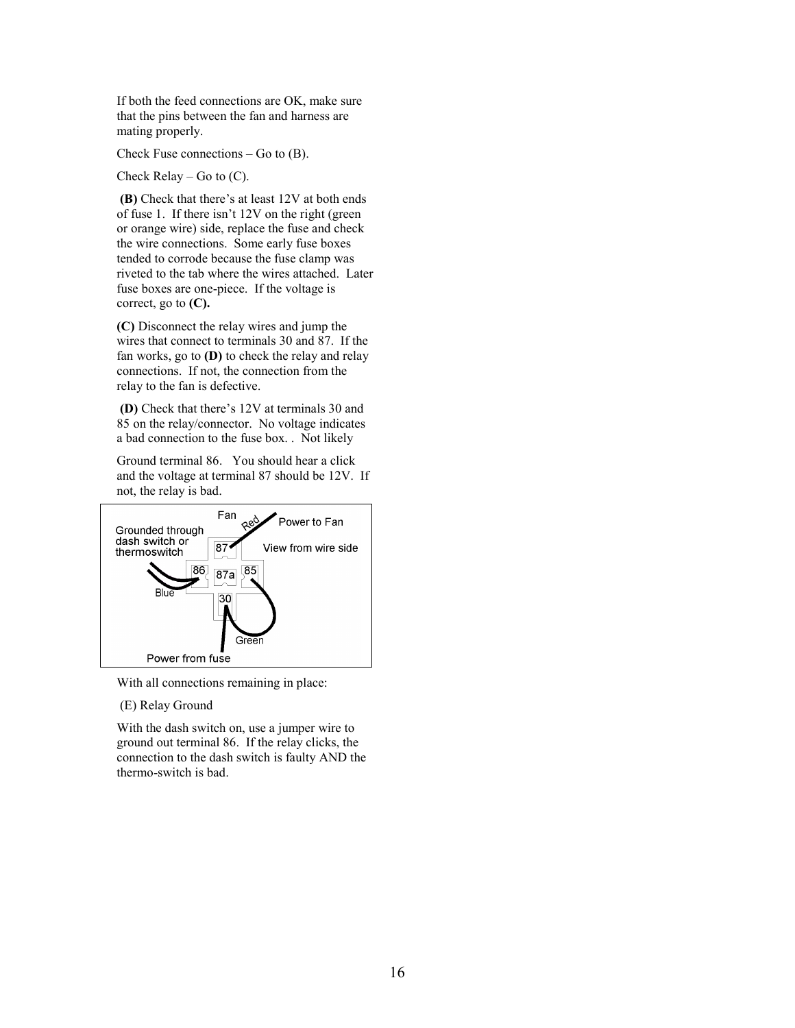If both the feed connections are OK, make sure that the pins between the fan and harness are mating properly.

Check Fuse connections  $-$  Go to  $(B)$ .

Check Relay – Go to  $(C)$ .

 **(B)** Check that there's at least 12V at both ends of fuse 1. If there isn't 12V on the right (green or orange wire) side, replace the fuse and check the wire connections. Some early fuse boxes tended to corrode because the fuse clamp was riveted to the tab where the wires attached. Later fuse boxes are one-piece. If the voltage is correct, go to **(C).** 

**(C)** Disconnect the relay wires and jump the wires that connect to terminals 30 and 87. If the fan works, go to **(D)** to check the relay and relay connections. If not, the connection from the relay to the fan is defective.

 **(D)** Check that there's 12V at terminals 30 and 85 on the relay/connector. No voltage indicates a bad connection to the fuse box. . Not likely

Ground terminal 86. You should hear a click and the voltage at terminal 87 should be 12V. If not, the relay is bad.



With all connections remaining in place:

### (E) Relay Ground

With the dash switch on, use a jumper wire to ground out terminal 86. If the relay clicks, the connection to the dash switch is faulty AND the thermo-switch is bad.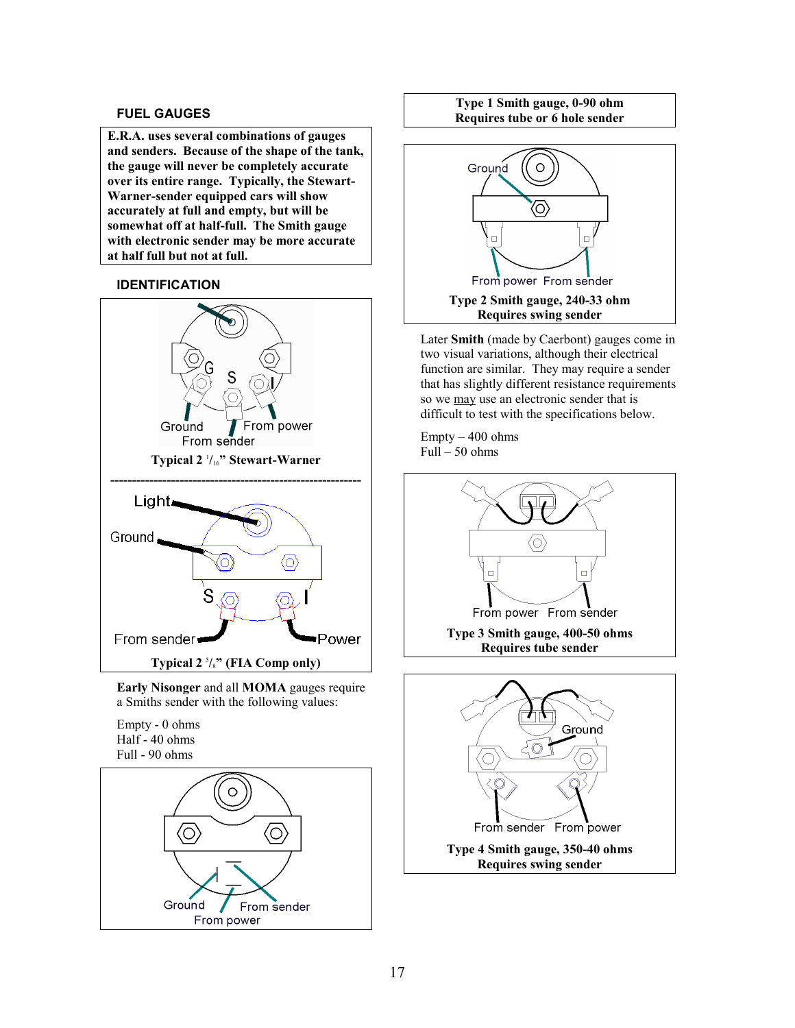## **FUEL GAUGES**

**E.R.A. uses several combinations of gauges and senders. Because of the shape of the tank, the gauge will never be completely accurate over its entire range. Typically, the Stewart-Warner-sender equipped cars will show accurately at full and empty, but will be somewhat off at half-full. The Smith gauge with electronic sender may be more accurate at half full but not at full.**

## **IDENTIFICATION**



**Early Nisonger** and all **MOMA** gauges require a Smiths sender with the following values:

#### Empty - 0 ohms Half - 40 ohms Full - 90 ohms



**Type 1 Smith gauge, 0-90 ohm Requires tube or 6 hole sender**



Later **Smith** (made by Caerbont) gauges come in two visual variations, although their electrical function are similar. They may require a sender that has slightly different resistance requirements so we may use an electronic sender that is difficult to test with the specifications below.

Empty – 400 ohms  $Full - 50 ohms$ 

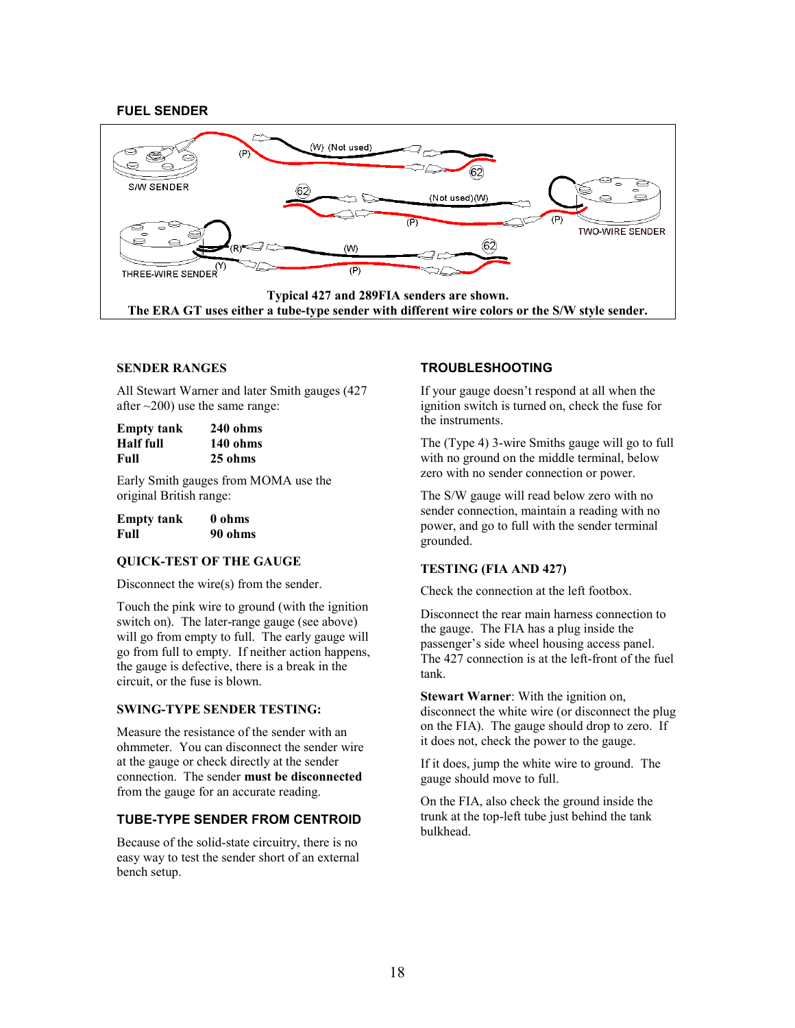## **FUEL SENDER**



#### **SENDER RANGES**

All Stewart Warner and later Smith gauges (427 after  $\sim$ 200) use the same range:

| <b>Empty tank</b> | $240$ ohms |
|-------------------|------------|
| <b>Half</b> full  | 140 ohms   |
| Full              | 25 ohms    |

Early Smith gauges from MOMA use the original British range:

| <b>Empty tank</b> | 0 ohms  |
|-------------------|---------|
| Full              | 90 ohms |

#### **QUICK-TEST OF THE GAUGE**

Disconnect the wire(s) from the sender.

Touch the pink wire to ground (with the ignition switch on). The later-range gauge (see above) will go from empty to full. The early gauge will go from full to empty. If neither action happens, the gauge is defective, there is a break in the circuit, or the fuse is blown.

#### **SWING-TYPE SENDER TESTING:**

Measure the resistance of the sender with an ohmmeter. You can disconnect the sender wire at the gauge or check directly at the sender connection. The sender **must be disconnected** from the gauge for an accurate reading.

### **TUBE-TYPE SENDER FROM CENTROID**

Because of the solid-state circuitry, there is no easy way to test the sender short of an external bench setup.

### **TROUBLESHOOTING**

If your gauge doesn't respond at all when the ignition switch is turned on, check the fuse for the instruments.

The (Type 4) 3-wire Smiths gauge will go to full with no ground on the middle terminal, below zero with no sender connection or power.

The S/W gauge will read below zero with no sender connection, maintain a reading with no power, and go to full with the sender terminal grounded.

#### **TESTING (FIA AND 427)**

Check the connection at the left footbox.

Disconnect the rear main harness connection to the gauge. The FIA has a plug inside the passenger's side wheel housing access panel. The 427 connection is at the left-front of the fuel tank.

**Stewart Warner**: With the ignition on, disconnect the white wire (or disconnect the plug on the FIA). The gauge should drop to zero. If it does not, check the power to the gauge.

If it does, jump the white wire to ground. The gauge should move to full.

On the FIA, also check the ground inside the trunk at the top-left tube just behind the tank bulkhead.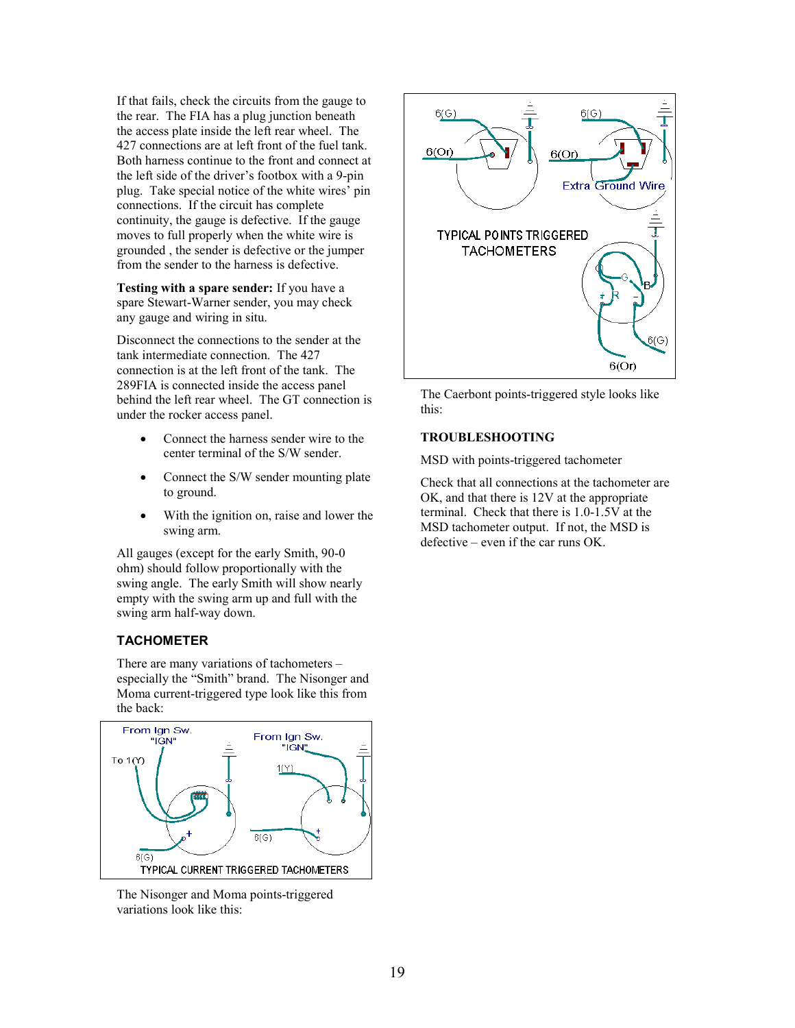If that fails, check the circuits from the gauge to the rear. The FIA has a plug junction beneath the access plate inside the left rear wheel. The 427 connections are at left front of the fuel tank. Both harness continue to the front and connect at the left side of the driver's footbox with a 9-pin plug. Take special notice of the white wires' pin connections. If the circuit has complete continuity, the gauge is defective. If the gauge moves to full properly when the white wire is grounded , the sender is defective or the jumper from the sender to the harness is defective.

**Testing with a spare sender:** If you have a spare Stewart-Warner sender, you may check any gauge and wiring in situ.

Disconnect the connections to the sender at the tank intermediate connection. The 427 connection is at the left front of the tank. The 289FIA is connected inside the access panel behind the left rear wheel. The GT connection is under the rocker access panel.

- Connect the harness sender wire to the center terminal of the S/W sender.
- Connect the S/W sender mounting plate to ground.
- With the ignition on, raise and lower the swing arm.

All gauges (except for the early Smith, 90-0 ohm) should follow proportionally with the swing angle. The early Smith will show nearly empty with the swing arm up and full with the swing arm half-way down.

## **TACHOMETER**

There are many variations of tachometers – especially the "Smith" brand. The Nisonger and Moma current-triggered type look like this from the back:



The Nisonger and Moma points-triggered variations look like this:



The Caerbont points-triggered style looks like this:

#### **TROUBLESHOOTING**

MSD with points-triggered tachometer

Check that all connections at the tachometer are OK, and that there is 12V at the appropriate terminal. Check that there is 1.0-1.5V at the MSD tachometer output. If not, the MSD is defective – even if the car runs OK.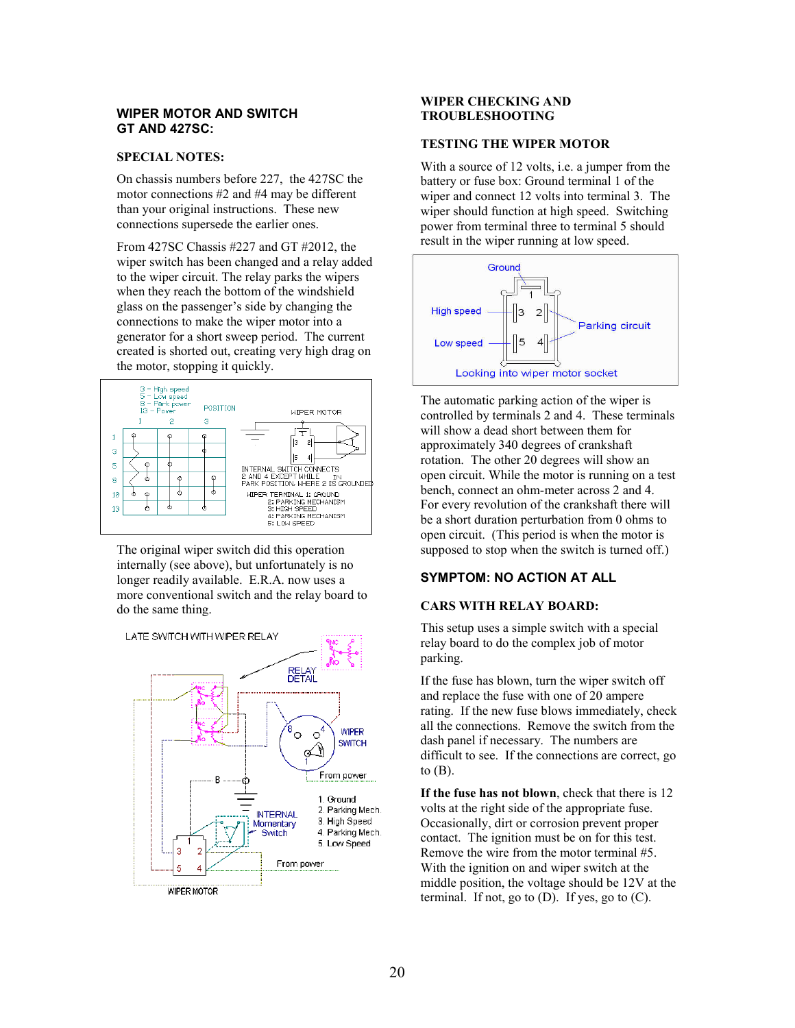#### **WIPER MOTOR AND SWITCH GT AND 427SC:**

#### **SPECIAL NOTES:**

On chassis numbers before 227, the 427SC the motor connections #2 and #4 may be different than your original instructions. These new connections supersede the earlier ones.

From 427SC Chassis #227 and GT #2012, the wiper switch has been changed and a relay added to the wiper circuit. The relay parks the wipers when they reach the bottom of the windshield glass on the passenger's side by changing the connections to make the wiper motor into a generator for a short sweep period. The current created is shorted out, creating very high drag on the motor, stopping it quickly.



The original wiper switch did this operation internally (see above), but unfortunately is no longer readily available. E.R.A. now uses a more conventional switch and the relay board to do the same thing.



### **WIPER CHECKING AND TROUBLESHOOTING**

#### **TESTING THE WIPER MOTOR**

With a source of 12 volts, *i.e.* a jumper from the battery or fuse box: Ground terminal 1 of the wiper and connect 12 volts into terminal 3. The wiper should function at high speed. Switching power from terminal three to terminal 5 should result in the wiper running at low speed.



The automatic parking action of the wiper is controlled by terminals 2 and 4. These terminals will show a dead short between them for approximately 340 degrees of crankshaft rotation. The other 20 degrees will show an open circuit. While the motor is running on a test bench, connect an ohm-meter across 2 and 4. For every revolution of the crankshaft there will be a short duration perturbation from 0 ohms to open circuit. (This period is when the motor is supposed to stop when the switch is turned off.)

## **SYMPTOM: NO ACTION AT ALL**

#### **CARS WITH RELAY BOARD:**

This setup uses a simple switch with a special relay board to do the complex job of motor parking.

If the fuse has blown, turn the wiper switch off and replace the fuse with one of 20 ampere rating. If the new fuse blows immediately, check all the connections. Remove the switch from the dash panel if necessary. The numbers are difficult to see. If the connections are correct, go to  $(B)$ .

**If the fuse has not blown**, check that there is 12 volts at the right side of the appropriate fuse. Occasionally, dirt or corrosion prevent proper contact. The ignition must be on for this test. Remove the wire from the motor terminal #5. With the ignition on and wiper switch at the middle position, the voltage should be 12V at the terminal. If not, go to  $(D)$ . If yes, go to  $(C)$ .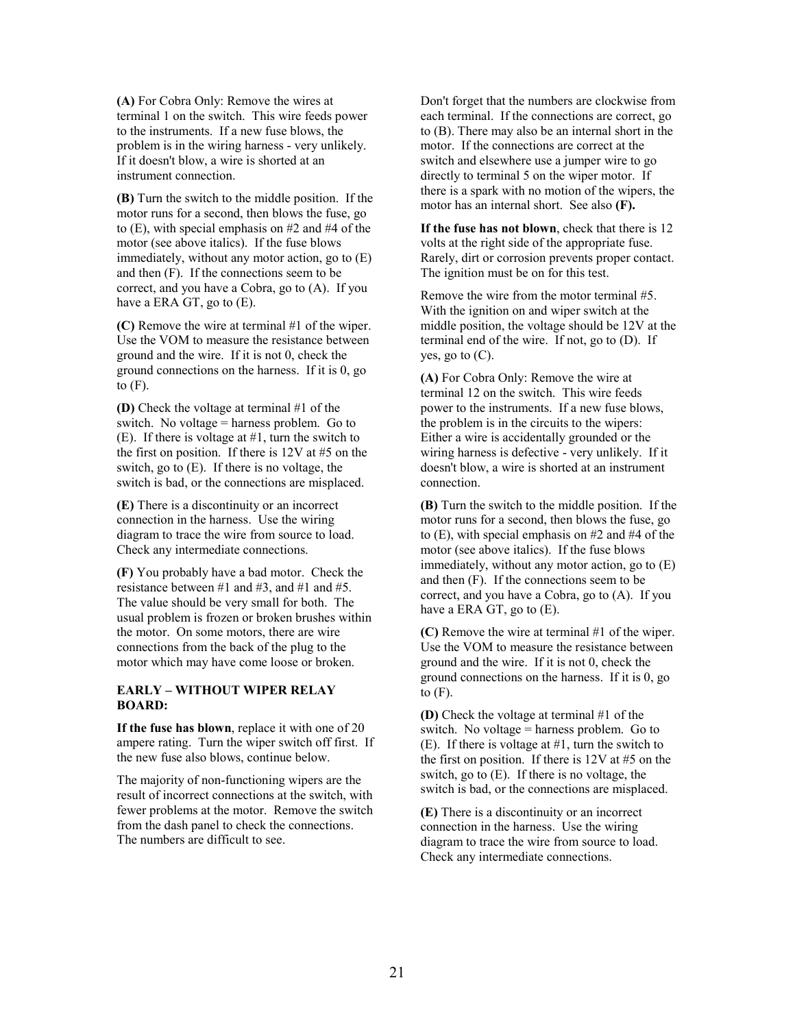**(A)** For Cobra Only: Remove the wires at terminal 1 on the switch. This wire feeds power to the instruments. If a new fuse blows, the problem is in the wiring harness - very unlikely. If it doesn't blow, a wire is shorted at an instrument connection.

**(B)** Turn the switch to the middle position. If the motor runs for a second, then blows the fuse, go to (E), with special emphasis on #2 and #4 of the motor (see above italics). If the fuse blows immediately, without any motor action, go to (E) and then (F). If the connections seem to be correct, and you have a Cobra, go to (A). If you have a ERA GT, go to (E).

**(C)** Remove the wire at terminal #1 of the wiper. Use the VOM to measure the resistance between ground and the wire. If it is not 0, check the ground connections on the harness. If it is 0, go to  $(F)$ .

**(D)** Check the voltage at terminal #1 of the switch. No voltage = harness problem. Go to (E). If there is voltage at #1, turn the switch to the first on position. If there is 12V at #5 on the switch, go to (E).If there is no voltage, the switch is bad, or the connections are misplaced.

**(E)** There is a discontinuity or an incorrect connection in the harness. Use the wiring diagram to trace the wire from source to load. Check any intermediate connections.

**(F)** You probably have a bad motor. Check the resistance between #1 and #3, and #1 and #5. The value should be very small for both. The usual problem is frozen or broken brushes within the motor. On some motors, there are wire connections from the back of the plug to the motor which may have come loose or broken.

#### **EARLY – WITHOUT WIPER RELAY BOARD:**

**If the fuse has blown**, replace it with one of 20 ampere rating. Turn the wiper switch off first. If the new fuse also blows, continue below.

The majority of non-functioning wipers are the result of incorrect connections at the switch, with fewer problems at the motor. Remove the switch from the dash panel to check the connections. The numbers are difficult to see.

Don't forget that the numbers are clockwise from each terminal. If the connections are correct, go to (B). There may also be an internal short in the motor. If the connections are correct at the switch and elsewhere use a jumper wire to go directly to terminal 5 on the wiper motor. If there is a spark with no motion of the wipers, the motor has an internal short. See also **(F).**

**If the fuse has not blown**, check that there is 12 volts at the right side of the appropriate fuse. Rarely, dirt or corrosion prevents proper contact. The ignition must be on for this test.

Remove the wire from the motor terminal #5. With the ignition on and wiper switch at the middle position, the voltage should be 12V at the terminal end of the wire. If not, go to (D). If yes, go to (C).

**(A)** For Cobra Only: Remove the wire at terminal 12 on the switch. This wire feeds power to the instruments. If a new fuse blows, the problem is in the circuits to the wipers: Either a wire is accidentally grounded or the wiring harness is defective - very unlikely. If it doesn't blow, a wire is shorted at an instrument connection.

**(B)** Turn the switch to the middle position. If the motor runs for a second, then blows the fuse, go to (E), with special emphasis on #2 and #4 of the motor (see above italics). If the fuse blows immediately, without any motor action, go to (E) and then (F). If the connections seem to be correct, and you have a Cobra, go to (A). If you have a ERA GT, go to (E).

**(C)** Remove the wire at terminal #1 of the wiper. Use the VOM to measure the resistance between ground and the wire. If it is not 0, check the ground connections on the harness. If it is 0, go to  $(F)$ .

**(D)** Check the voltage at terminal #1 of the switch. No voltage = harness problem. Go to (E). If there is voltage at #1, turn the switch to the first on position. If there is 12V at #5 on the switch, go to (E).If there is no voltage, the switch is bad, or the connections are misplaced.

**(E)** There is a discontinuity or an incorrect connection in the harness. Use the wiring diagram to trace the wire from source to load. Check any intermediate connections.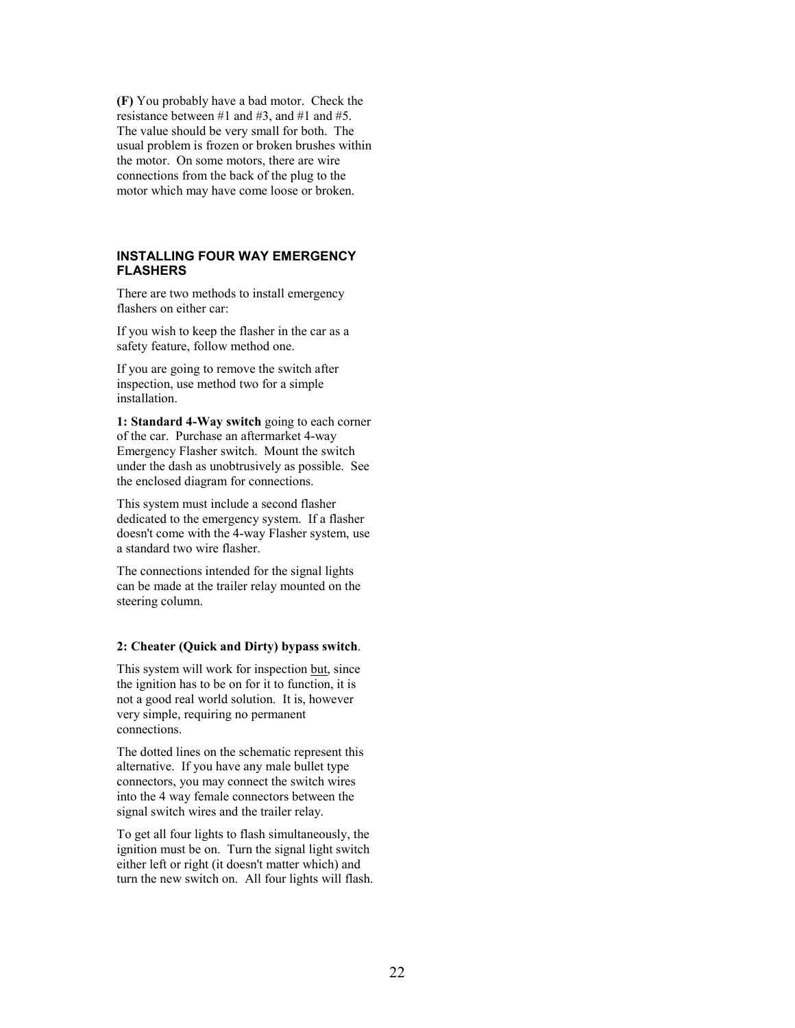**(F)** You probably have a bad motor. Check the resistance between #1 and #3, and #1 and #5. The value should be very small for both. The usual problem is frozen or broken brushes within the motor. On some motors, there are wire connections from the back of the plug to the motor which may have come loose or broken.

### **INSTALLING FOUR WAY EMERGENCY FLASHERS**

There are two methods to install emergency flashers on either car:

If you wish to keep the flasher in the car as a safety feature, follow method one.

If you are going to remove the switch after inspection, use method two for a simple installation.

**1: Standard 4-Way switch** going to each corner of the car. Purchase an aftermarket 4-way Emergency Flasher switch. Mount the switch under the dash as unobtrusively as possible. See the enclosed diagram for connections.

This system must include a second flasher dedicated to the emergency system. If a flasher doesn't come with the 4-way Flasher system, use a standard two wire flasher.

The connections intended for the signal lights can be made at the trailer relay mounted on the steering column.

#### **2: Cheater (Quick and Dirty) bypass switch**.

This system will work for inspection but, since the ignition has to be on for it to function, it is not a good real world solution. It is, however very simple, requiring no permanent connections.

The dotted lines on the schematic represent this alternative. If you have any male bullet type connectors, you may connect the switch wires into the 4 way female connectors between the signal switch wires and the trailer relay.

To get all four lights to flash simultaneously, the ignition must be on. Turn the signal light switch either left or right (it doesn't matter which) and turn the new switch on. All four lights will flash.